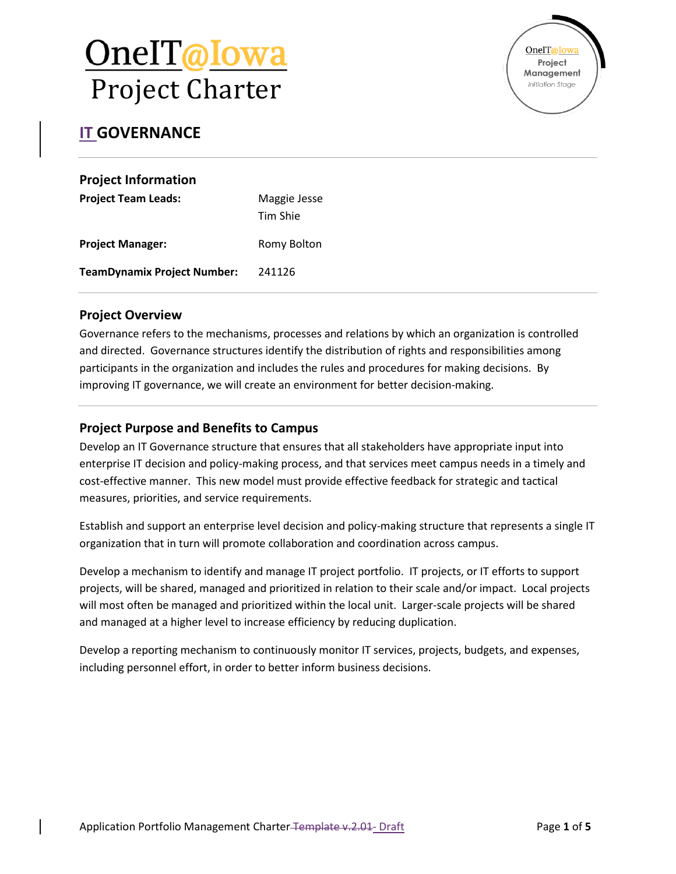

# **IT GOVERNANCE**

## **Project Information**

| <b>Project Team Leads:</b>         | Maggie Jesse |
|------------------------------------|--------------|
|                                    | Tim Shie     |
| <b>Project Manager:</b>            | Romy Bolton  |
| <b>TeamDynamix Project Number:</b> | 241126       |

## **Project Overview**

Governance refers to the mechanisms, processes and relations by which an organization is controlled and directed. Governance structures identify the distribution of rights and responsibilities among participants in the organization and includes the rules and procedures for making decisions. By improving IT governance, we will create an environment for better decision-making.

## **Project Purpose and Benefits to Campus**

Develop an IT Governance structure that ensures that all stakeholders have appropriate input into enterprise IT decision and policy-making process, and that services meet campus needs in a timely and cost-effective manner. This new model must provide effective feedback for strategic and tactical measures, priorities, and service requirements.

Establish and support an enterprise level decision and policy-making structure that represents a single IT organization that in turn will promote collaboration and coordination across campus.

Develop a mechanism to identify and manage IT project portfolio. IT projects, or IT efforts to support projects, will be shared, managed and prioritized in relation to their scale and/or impact. Local projects will most often be managed and prioritized within the local unit. Larger-scale projects will be shared and managed at a higher level to increase efficiency by reducing duplication.

Develop a reporting mechanism to continuously monitor IT services, projects, budgets, and expenses, including personnel effort, in order to better inform business decisions.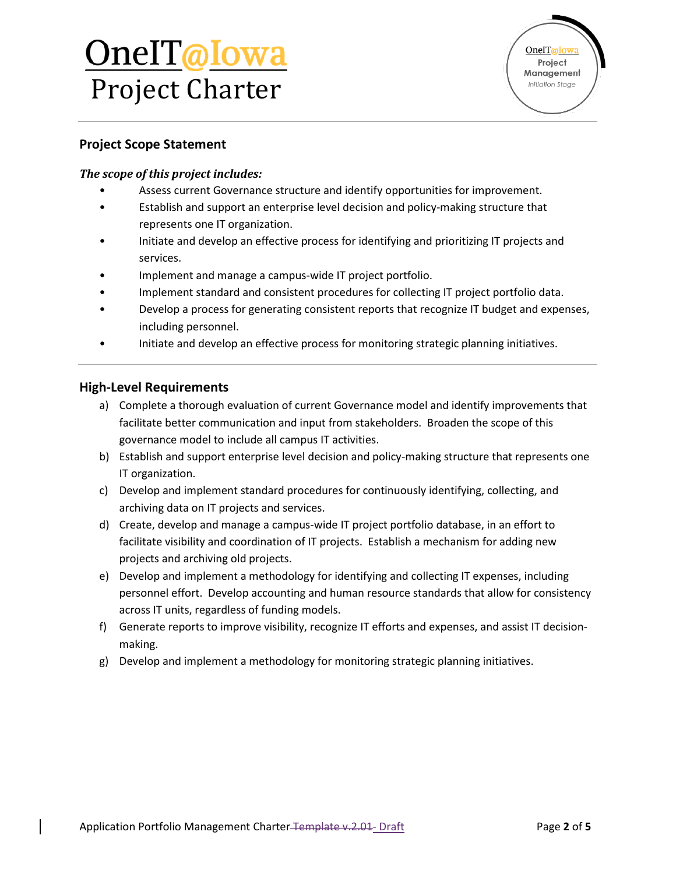# <u>OnelT@Iowa</u> Project Charter

# **Project Scope Statement**

### *The scope of this project includes:*

- Assess current Governance structure and identify opportunities for improvement.
- Establish and support an enterprise level decision and policy-making structure that represents one IT organization.
- Initiate and develop an effective process for identifying and prioritizing IT projects and services.
- Implement and manage a campus-wide IT project portfolio.
- Implement standard and consistent procedures for collecting IT project portfolio data.
- Develop a process for generating consistent reports that recognize IT budget and expenses, including personnel.
- Initiate and develop an effective process for monitoring strategic planning initiatives.

## **High-Level Requirements**

- a) Complete a thorough evaluation of current Governance model and identify improvements that facilitate better communication and input from stakeholders. Broaden the scope of this governance model to include all campus IT activities.
- b) Establish and support enterprise level decision and policy-making structure that represents one IT organization.
- c) Develop and implement standard procedures for continuously identifying, collecting, and archiving data on IT projects and services.
- d) Create, develop and manage a campus-wide IT project portfolio database, in an effort to facilitate visibility and coordination of IT projects. Establish a mechanism for adding new projects and archiving old projects.
- e) Develop and implement a methodology for identifying and collecting IT expenses, including personnel effort. Develop accounting and human resource standards that allow for consistency across IT units, regardless of funding models.
- f) Generate reports to improve visibility, recognize IT efforts and expenses, and assist IT decisionmaking.
- g) Develop and implement a methodology for monitoring strategic planning initiatives.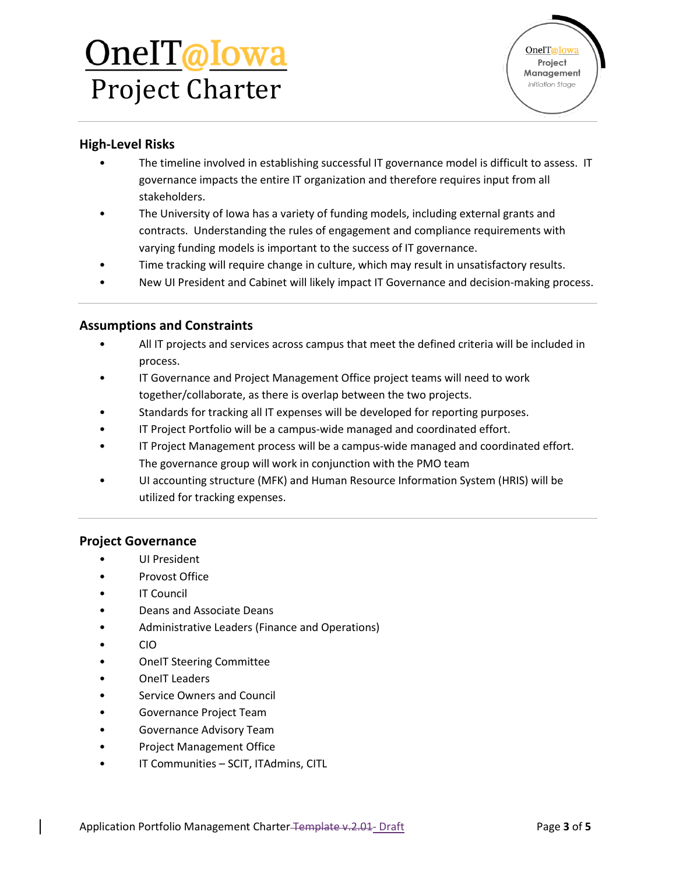# **High-Level Risks**

- The timeline involved in establishing successful IT governance model is difficult to assess. IT governance impacts the entire IT organization and therefore requires input from all stakeholders.
- The University of Iowa has a variety of funding models, including external grants and contracts. Understanding the rules of engagement and compliance requirements with varying funding models is important to the success of IT governance.
- Time tracking will require change in culture, which may result in unsatisfactory results.
- New UI President and Cabinet will likely impact IT Governance and decision-making process.

## **Assumptions and Constraints**

- All IT projects and services across campus that meet the defined criteria will be included in process.
- IT Governance and Project Management Office project teams will need to work together/collaborate, as there is overlap between the two projects.
- Standards for tracking all IT expenses will be developed for reporting purposes.
- IT Project Portfolio will be a campus-wide managed and coordinated effort.
- IT Project Management process will be a campus-wide managed and coordinated effort. The governance group will work in conjunction with the PMO team
- UI accounting structure (MFK) and Human Resource Information System (HRIS) will be utilized for tracking expenses.

### **Project Governance**

- UI President
- Provost Office
- **IT Council**
- Deans and Associate Deans
- Administrative Leaders (Finance and Operations)
- CIO
- OneIT Steering Committee
- **OneIT Leaders**
- Service Owners and Council
- Governance Project Team
- Governance Advisory Team
- Project Management Office
- IT Communities SCIT, ITAdmins, CITL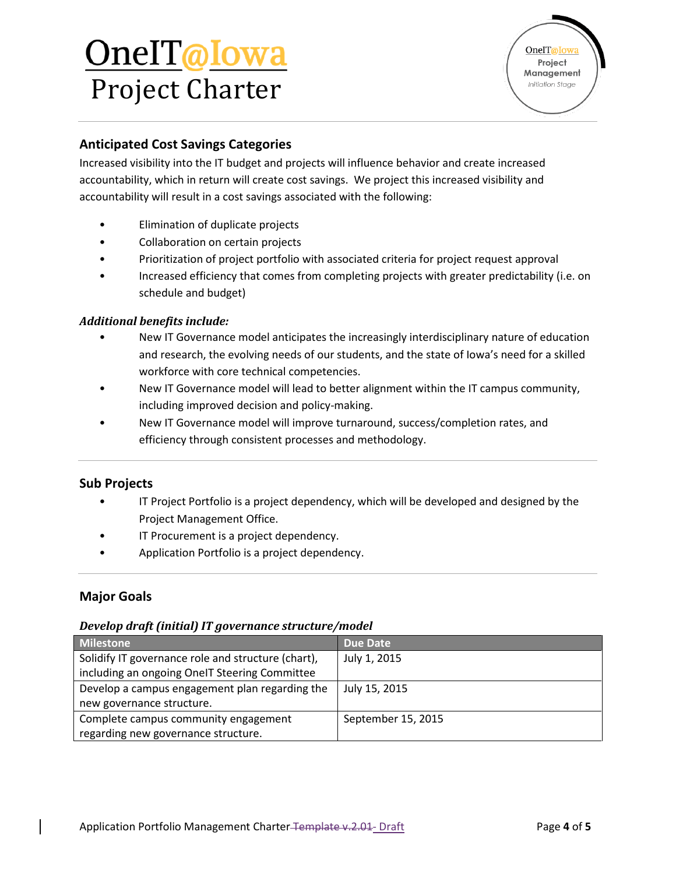

# **Anticipated Cost Savings Categories**

Increased visibility into the IT budget and projects will influence behavior and create increased accountability, which in return will create cost savings. We project this increased visibility and accountability will result in a cost savings associated with the following:

- Elimination of duplicate projects
- Collaboration on certain projects
- Prioritization of project portfolio with associated criteria for project request approval
- Increased efficiency that comes from completing projects with greater predictability (i.e. on schedule and budget)

### *Additional benefits include:*

- New IT Governance model anticipates the increasingly interdisciplinary nature of education and research, the evolving needs of our students, and the state of Iowa's need for a skilled workforce with core technical competencies.
- New IT Governance model will lead to better alignment within the IT campus community, including improved decision and policy-making.
- New IT Governance model will improve turnaround, success/completion rates, and efficiency through consistent processes and methodology.

### **Sub Projects**

- IT Project Portfolio is a project dependency, which will be developed and designed by the Project Management Office.
- IT Procurement is a project dependency.
- Application Portfolio is a project dependency.

### **Major Goals**

#### *Develop draft (initial) IT governance structure/model*

| <b>Milestone</b>                                   | Due Date           |
|----------------------------------------------------|--------------------|
| Solidify IT governance role and structure (chart), | July 1, 2015       |
| including an ongoing OneIT Steering Committee      |                    |
| Develop a campus engagement plan regarding the     | July 15, 2015      |
| new governance structure.                          |                    |
| Complete campus community engagement               | September 15, 2015 |
| regarding new governance structure.                |                    |